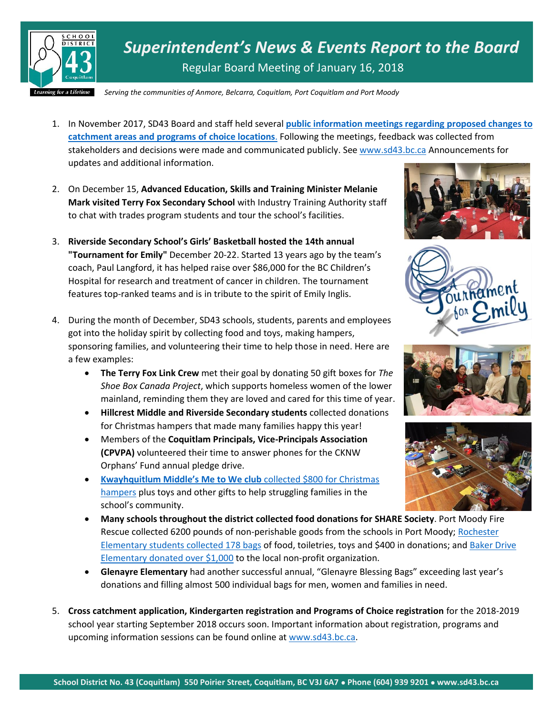

*Superintendent's News & Events Report to the Board* Regular Board Meeting of January 16, 2018

*Serving the communities of Anmore, Belcarra, Coquitlam, Port Coquitlam and Port Moody*

- 1. In November 2017, SD43 Board and staff held several **[public information meetings regarding proposed changes to](http://www.sd43.bc.ca/Pages/newsitem.aspx?ItemID=414&ListID=ed550773-e9ff-4e20-9964-4e1b213f518c&TemplateID=Announcement_Item)  [catchment areas and programs of choice locations](http://www.sd43.bc.ca/Pages/newsitem.aspx?ItemID=414&ListID=ed550773-e9ff-4e20-9964-4e1b213f518c&TemplateID=Announcement_Item)**. Following the meetings, feedback was collected from stakeholders and decisions were made and communicated publicly. See [www.sd43.bc.ca](http://www.sd43.bc.ca/) Announcements for updates and additional information.
- 2. On December 15, **Advanced Education, Skills and Training Minister Melanie Mark visited Terry Fox Secondary School** with Industry Training Authority staff to chat with trades program students and tour the school's facilities.
- 3. **Riverside Secondary School's Girls' Basketball hosted the 14th annual "Tournament for Emily"** December 20-22. Started 13 years ago by the team's coach, Paul Langford, it has helped raise over \$86,000 for the BC Children's Hospital for research and treatment of cancer in children. The tournament features top-ranked teams and is in tribute to the spirit of Emily Inglis.
- 4. During the month of December, SD43 schools, students, parents and employees got into the holiday spirit by collecting food and toys, making hampers, sponsoring families, and volunteering their time to help those in need. Here are a few examples:
	- **The Terry Fox Link Crew** met their goal by donating 50 gift boxes for *The Shoe Box Canada Project*, which supports homeless women of the lower mainland, reminding them they are loved and cared for this time of year.
	- **Hillcrest Middle and Riverside Secondary students** collected donations for Christmas hampers that made many families happy this year!
	- Members of the **Coquitlam Principals, Vice-Principals Association (CPVPA)** volunteered their time to answer phones for the CKNW Orphans' Fund annual pledge drive.
	- **Kwayhquitlum Middle's Me to We club** collected \$800 for Christmas [hampers](http://www.tricitynews.com/community/coquitlam-port-coquitlam-schools-help-struggling-families-1.23129241) plus toys and other gifts to help struggling families in the school's community.









- **Many schools throughout the district collected food donations for SHARE Society**. Port Moody Fire Rescue collected 6200 pounds of non-perishable goods from the schools in Port Moody; [Rochester](http://www.tricitynews.com/community/coquitlam-port-coquitlam-schools-help-struggling-families-1.23129241)  [Elementary students collected 178 bags](http://www.tricitynews.com/community/coquitlam-port-coquitlam-schools-help-struggling-families-1.23129241) of food, toiletries, toys and \$400 in donations; and [Baker Drive](http://www.tricitynews.com/community/spotlight-baker-drive-elementary-shares-market-1.23135335)  [Elementary donated over \\$1,000](http://www.tricitynews.com/community/spotlight-baker-drive-elementary-shares-market-1.23135335) to the local non-profit organization.
- **Glenayre Elementary** had another successful annual, "Glenayre Blessing Bags" exceeding last year's donations and filling almost 500 individual bags for men, women and families in need.
- 5. **Cross catchment application, Kindergarten registration and Programs of Choice registration** for the 2018-2019 school year starting September 2018 occurs soon. Important information about registration, programs and upcoming information sessions can be found online at [www.sd43.bc.ca.](http://www.sd43.bc.ca/)